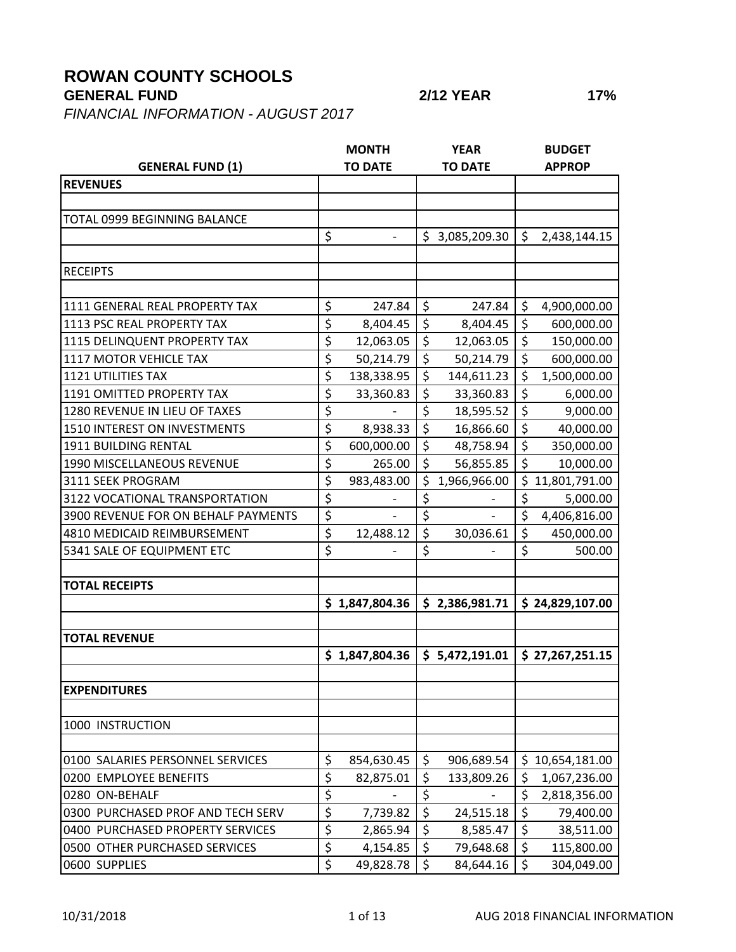## **ROWAN COUNTY SCHOOLS**

## **GENERAL FUND 2/12 YEAR 17%**

*FINANCIAL INFORMATION - AUGUST 2017*

|                                     |                  | <b>MONTH</b>             |                  | <b>YEAR</b>    |                  | <b>BUDGET</b>   |
|-------------------------------------|------------------|--------------------------|------------------|----------------|------------------|-----------------|
| <b>GENERAL FUND (1)</b>             |                  | <b>TO DATE</b>           |                  | <b>TO DATE</b> |                  | <b>APPROP</b>   |
| <b>REVENUES</b>                     |                  |                          |                  |                |                  |                 |
|                                     |                  |                          |                  |                |                  |                 |
| TOTAL 0999 BEGINNING BALANCE        |                  |                          |                  |                |                  |                 |
|                                     | \$               | $\overline{\phantom{a}}$ | \$               | 3,085,209.30   | \$               | 2,438,144.15    |
|                                     |                  |                          |                  |                |                  |                 |
| <b>RECEIPTS</b>                     |                  |                          |                  |                |                  |                 |
|                                     |                  |                          |                  |                |                  |                 |
| 1111 GENERAL REAL PROPERTY TAX      | \$               | 247.84                   | \$               | 247.84         | \$               | 4,900,000.00    |
| 1113 PSC REAL PROPERTY TAX          | \$               | 8,404.45                 | \$               | 8,404.45       | $\overline{\xi}$ | 600,000.00      |
| 1115 DELINQUENT PROPERTY TAX        | \$               | 12,063.05                | \$               | 12,063.05      | \$               | 150,000.00      |
| 1117 MOTOR VEHICLE TAX              | \$               | 50,214.79                | $\overline{\xi}$ | 50,214.79      | $\overline{\xi}$ | 600,000.00      |
| <b>1121 UTILITIES TAX</b>           | \$               | 138,338.95               | \$               | 144,611.23     | \$               | 1,500,000.00    |
| 1191 OMITTED PROPERTY TAX           | \$               | 33,360.83                | \$               | 33,360.83      | $\overline{\xi}$ | 6,000.00        |
| 1280 REVENUE IN LIEU OF TAXES       | \$               |                          | \$               | 18,595.52      | $\overline{\xi}$ | 9,000.00        |
| 1510 INTEREST ON INVESTMENTS        | $\overline{\xi}$ | 8,938.33                 | \$               | 16,866.60      | \$               | 40,000.00       |
| 1911 BUILDING RENTAL                | \$               | 600,000.00               | \$               | 48,758.94      | \$               | 350,000.00      |
| 1990 MISCELLANEOUS REVENUE          | \$               | 265.00                   | \$               | 56,855.85      | $\overline{\xi}$ | 10,000.00       |
| 3111 SEEK PROGRAM                   | \$               | 983,483.00               | \$               | 1,966,966.00   |                  | \$11,801,791.00 |
| 3122 VOCATIONAL TRANSPORTATION      | \$               |                          | \$               |                | $\overline{\xi}$ | 5,000.00        |
| 3900 REVENUE FOR ON BEHALF PAYMENTS | \$               |                          | \$               |                | \$               | 4,406,816.00    |
| 4810 MEDICAID REIMBURSEMENT         | \$               | 12,488.12                | \$               | 30,036.61      | $\overline{\xi}$ | 450,000.00      |
| 5341 SALE OF EQUIPMENT ETC          | \$               |                          | \$               |                | \$               | 500.00          |
|                                     |                  |                          |                  |                |                  |                 |
| <b>TOTAL RECEIPTS</b>               |                  |                          |                  |                |                  |                 |
|                                     |                  | \$1,847,804.36           |                  | \$2,386,981.71 |                  | \$24,829,107.00 |
|                                     |                  |                          |                  |                |                  |                 |
| <b>TOTAL REVENUE</b>                |                  |                          |                  |                |                  |                 |
|                                     |                  | \$1,847,804.36           |                  | \$5,472,191.01 |                  | \$27,267,251.15 |
|                                     |                  |                          |                  |                |                  |                 |
| <b>EXPENDITURES</b>                 |                  |                          |                  |                |                  |                 |
|                                     |                  |                          |                  |                |                  |                 |
| 1000 INSTRUCTION                    |                  |                          |                  |                |                  |                 |
|                                     |                  |                          |                  |                |                  |                 |
| 0100 SALARIES PERSONNEL SERVICES    | \$               | 854,630.45               | \$               | 906,689.54     | \$.              | 10,654,181.00   |
| 0200 EMPLOYEE BENEFITS              | \$               | 82,875.01                | \$               | 133,809.26     | \$               | 1,067,236.00    |
| 0280 ON-BEHALF                      | \$               |                          | \$               |                | \$               | 2,818,356.00    |
| 0300 PURCHASED PROF AND TECH SERV   | $\overline{\xi}$ | 7,739.82                 | \$               | 24,515.18      | \$               | 79,400.00       |
| 0400 PURCHASED PROPERTY SERVICES    | $\overline{\xi}$ | 2,865.94                 | \$               | 8,585.47       | \$               | 38,511.00       |
| 0500 OTHER PURCHASED SERVICES       | \$               | 4,154.85                 | \$               | 79,648.68      | \$               | 115,800.00      |
| 0600 SUPPLIES                       | \$               | 49,828.78                | $\zeta$          | 84,644.16      | \$               | 304,049.00      |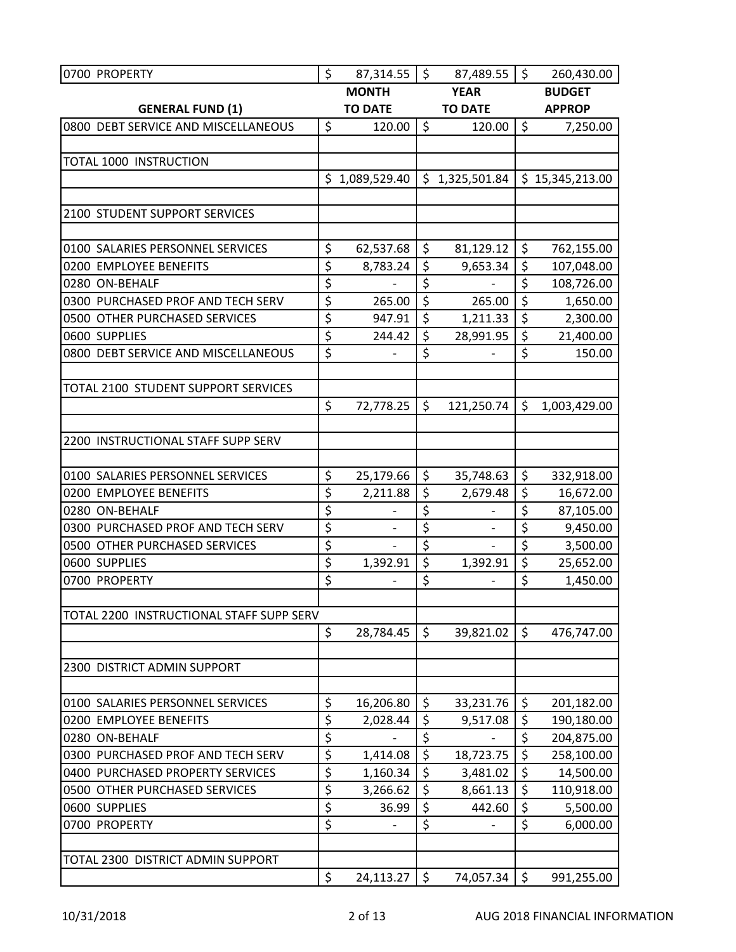| 0700 PROPERTY                            | \$                     | 87,314.55                | $\zeta$          | 87,489.55         | \$               | 260,430.00      |
|------------------------------------------|------------------------|--------------------------|------------------|-------------------|------------------|-----------------|
|                                          |                        | <b>MONTH</b>             |                  | <b>YEAR</b>       |                  | <b>BUDGET</b>   |
| <b>GENERAL FUND (1)</b>                  |                        | <b>TO DATE</b>           |                  | <b>TO DATE</b>    |                  | <b>APPROP</b>   |
| 0800 DEBT SERVICE AND MISCELLANEOUS      | \$                     | 120.00                   | $\zeta$          | 120.00            | \$               | 7,250.00        |
|                                          |                        |                          |                  |                   |                  |                 |
| TOTAL 1000 INSTRUCTION                   |                        |                          |                  |                   |                  |                 |
|                                          |                        | \$1,089,529.40           |                  | \$1,325,501.84    |                  | \$15,345,213.00 |
|                                          |                        |                          |                  |                   |                  |                 |
| 2100 STUDENT SUPPORT SERVICES            |                        |                          |                  |                   |                  |                 |
|                                          |                        |                          |                  |                   |                  |                 |
| 0100 SALARIES PERSONNEL SERVICES         | \$                     | 62,537.68                | \$               | 81,129.12         | \$               | 762,155.00      |
| 0200 EMPLOYEE BENEFITS                   | \$                     | 8,783.24                 | $\overline{\xi}$ | 9,653.34          | $\overline{\xi}$ | 107,048.00      |
| 0280 ON-BEHALF                           | \$                     | $\overline{\phantom{a}}$ | \$               | $\qquad \qquad -$ | $\overline{\xi}$ | 108,726.00      |
| 0300 PURCHASED PROF AND TECH SERV        | \$                     | 265.00                   | \$               | 265.00            | $\overline{\xi}$ | 1,650.00        |
| 0500 OTHER PURCHASED SERVICES            | \$                     | 947.91                   | \$               | 1,211.33          | $\overline{\xi}$ | 2,300.00        |
| 0600 SUPPLIES                            | $\overline{\xi}$       | 244.42                   | \$               | 28,991.95         | $\overline{\xi}$ | 21,400.00       |
| 0800 DEBT SERVICE AND MISCELLANEOUS      | $\overline{\xi}$       |                          | \$               |                   | \$               | 150.00          |
|                                          |                        |                          |                  |                   |                  |                 |
| TOTAL 2100 STUDENT SUPPORT SERVICES      |                        |                          |                  |                   |                  |                 |
|                                          | \$                     | 72,778.25                | \$               | 121,250.74        | \$               | 1,003,429.00    |
|                                          |                        |                          |                  |                   |                  |                 |
| 2200 INSTRUCTIONAL STAFF SUPP SERV       |                        |                          |                  |                   |                  |                 |
|                                          |                        |                          |                  |                   |                  |                 |
| 0100 SALARIES PERSONNEL SERVICES         | \$                     | 25,179.66                | $\zeta$          | 35,748.63         | \$               | 332,918.00      |
| 0200 EMPLOYEE BENEFITS                   | \$                     | 2,211.88                 | \$               | 2,679.48          | \$               | 16,672.00       |
| 0280 ON-BEHALF                           | \$                     |                          | \$               |                   | $\overline{\xi}$ | 87,105.00       |
| 0300 PURCHASED PROF AND TECH SERV        | \$                     | $\overline{\phantom{a}}$ | \$               |                   | $\overline{\xi}$ | 9,450.00        |
| 0500 OTHER PURCHASED SERVICES            | \$                     |                          | \$               |                   | $\overline{\xi}$ | 3,500.00        |
| 0600 SUPPLIES                            | $\overline{\xi}$       | 1,392.91                 | \$               | 1,392.91          | $\overline{\xi}$ | 25,652.00       |
| 0700 PROPERTY                            | \$                     |                          | \$               |                   | \$               | 1,450.00        |
|                                          |                        |                          |                  |                   |                  |                 |
| TOTAL 2200 INSTRUCTIONAL STAFF SUPP SERV |                        |                          |                  |                   |                  |                 |
|                                          | \$                     | 28,784.45                | \$               | 39,821.02         | $\zeta$          | 476,747.00      |
|                                          |                        |                          |                  |                   |                  |                 |
| 2300 DISTRICT ADMIN SUPPORT              |                        |                          |                  |                   |                  |                 |
|                                          |                        |                          |                  |                   |                  |                 |
| 0100 SALARIES PERSONNEL SERVICES         | \$                     | 16,206.80                | \$               | 33,231.76         | \$               | 201,182.00      |
| 0200 EMPLOYEE BENEFITS                   | \$                     | 2,028.44                 | \$               | 9,517.08          | \$               | 190,180.00      |
| 0280 ON-BEHALF                           | \$                     |                          | \$               |                   | \$               | 204,875.00      |
| 0300 PURCHASED PROF AND TECH SERV        | \$                     | 1,414.08                 | \$               | 18,723.75         | $\overline{\xi}$ | 258,100.00      |
| 0400 PURCHASED PROPERTY SERVICES         | \$                     | 1,160.34                 | \$               | 3,481.02          | $\overline{\xi}$ | 14,500.00       |
| 0500 OTHER PURCHASED SERVICES            | $\overline{\varsigma}$ | 3,266.62                 | \$               | 8,661.13          | \$               | 110,918.00      |
| 0600 SUPPLIES                            | \$                     | 36.99                    | \$               | 442.60            | \$               | 5,500.00        |
| 0700 PROPERTY                            | \$                     | $\overline{\phantom{a}}$ | \$               | $\qquad \qquad -$ | \$               | 6,000.00        |
|                                          |                        |                          |                  |                   |                  |                 |
| TOTAL 2300 DISTRICT ADMIN SUPPORT        |                        |                          |                  |                   |                  |                 |
|                                          | \$                     | 24,113.27                | \$               | 74,057.34         | \$               | 991,255.00      |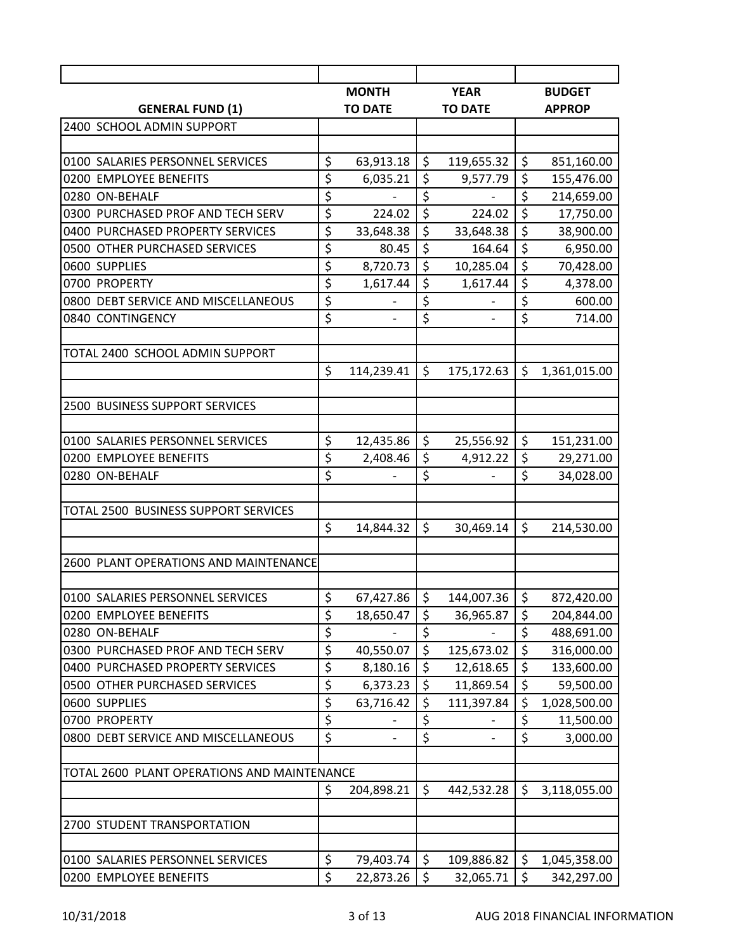| <b>YEAR</b><br><b>MONTH</b><br><b>BUDGET</b><br><b>TO DATE</b><br><b>TO DATE</b><br><b>GENERAL FUND (1)</b><br><b>APPROP</b><br>2400 SCHOOL ADMIN SUPPORT<br>\$<br>\$<br>\$<br>63,913.18<br>0100 SALARIES PERSONNEL SERVICES<br>119,655.32<br>851,160.00<br>\$<br>\$<br>\$<br>6,035.21<br>0200 EMPLOYEE BENEFITS<br>9,577.79<br>155,476.00<br>$\overline{\xi}$<br>\$<br>$\overline{\xi}$<br>0280 ON-BEHALF<br>214,659.00<br>\$<br>\$<br>\$<br>0300 PURCHASED PROF AND TECH SERV<br>224.02<br>224.02<br>17,750.00<br>\$<br>$\overline{\xi}$<br>$\overline{\boldsymbol{\zeta}}$<br>33,648.38<br>0400 PURCHASED PROPERTY SERVICES<br>33,648.38<br>38,900.00<br>$\overline{\xi}$<br>\$<br>\$<br>80.45<br>164.64<br>0500 OTHER PURCHASED SERVICES<br>6,950.00<br>\$<br>$\overline{\xi}$<br>\$<br>8,720.73<br>10,285.04<br>70,428.00<br>0600 SUPPLIES<br>\$<br>$\overline{\xi}$<br>\$<br>0700 PROPERTY<br>1,617.44<br>1,617.44<br>4,378.00<br>$\overline{\xi}$<br>\$<br>\$<br>0800 DEBT SERVICE AND MISCELLANEOUS<br>600.00<br>$\overline{\xi}$<br>\$<br>\$<br>0840 CONTINGENCY<br>714.00<br>TOTAL 2400 SCHOOL ADMIN SUPPORT<br>\$<br>\$<br>\$<br>175,172.63<br>114,239.41<br>1,361,015.00<br>2500 BUSINESS SUPPORT SERVICES<br>\$<br>$\zeta$<br>\$<br>12,435.86<br>25,556.92<br>0100 SALARIES PERSONNEL SERVICES<br>151,231.00<br>\$<br>\$<br>\$<br>0200 EMPLOYEE BENEFITS<br>29,271.00<br>2,408.46<br>4,912.22<br>\$<br>\$<br>\$<br>0280 ON-BEHALF<br>34,028.00<br>TOTAL 2500 BUSINESS SUPPORT SERVICES<br>\$<br>$\zeta$<br>\$<br>14,844.32<br>30,469.14<br>214,530.00<br>2600 PLANT OPERATIONS AND MAINTENANCE<br>\$<br>\$<br>\$<br>67,427.86<br>144,007.36<br>872,420.00<br>\$<br>\$<br>\$<br>0200 EMPLOYEE BENEFITS<br>204,844.00<br>18,650.47<br>36,965.87<br>\$<br>\$<br>\$<br>0280 ON-BEHALF<br>488,691.00<br>$\overline{\varsigma}$<br>$\overline{\xi}$<br>$\overline{\varsigma}$<br>0300 PURCHASED PROF AND TECH SERV<br>40,550.07<br>125,673.02<br>316,000.00<br>\$<br>\$<br>\$<br>0400 PURCHASED PROPERTY SERVICES<br>8,180.16<br>12,618.65<br>133,600.00<br>$\overline{\xi}$<br>\$<br>\$<br>6,373.23<br>0500 OTHER PURCHASED SERVICES<br>11,869.54<br>59,500.00<br>\$<br>\$<br>\$<br>0600 SUPPLIES<br>63,716.42<br>111,397.84<br>1,028,500.00<br>$\overline{\xi}$<br>$\overline{\varsigma}$<br>\$<br>0700 PROPERTY<br>11,500.00<br>$\overline{\xi}$<br>$\overline{\xi}$<br>\$<br>0800 DEBT SERVICE AND MISCELLANEOUS<br>3,000.00<br>TOTAL 2600 PLANT OPERATIONS AND MAINTENANCE<br>\$<br>\$<br>\$<br>442,532.28<br>204,898.21<br>3,118,055.00<br>2700 STUDENT TRANSPORTATION |                                  |  |  |  |
|-------------------------------------------------------------------------------------------------------------------------------------------------------------------------------------------------------------------------------------------------------------------------------------------------------------------------------------------------------------------------------------------------------------------------------------------------------------------------------------------------------------------------------------------------------------------------------------------------------------------------------------------------------------------------------------------------------------------------------------------------------------------------------------------------------------------------------------------------------------------------------------------------------------------------------------------------------------------------------------------------------------------------------------------------------------------------------------------------------------------------------------------------------------------------------------------------------------------------------------------------------------------------------------------------------------------------------------------------------------------------------------------------------------------------------------------------------------------------------------------------------------------------------------------------------------------------------------------------------------------------------------------------------------------------------------------------------------------------------------------------------------------------------------------------------------------------------------------------------------------------------------------------------------------------------------------------------------------------------------------------------------------------------------------------------------------------------------------------------------------------------------------------------------------------------------------------------------------------------------------------------------------------------------------------------------------------------------------------------------------------------------------------------------------------------------------------------------------------------------------------------------------------------------------------------------------------------------|----------------------------------|--|--|--|
|                                                                                                                                                                                                                                                                                                                                                                                                                                                                                                                                                                                                                                                                                                                                                                                                                                                                                                                                                                                                                                                                                                                                                                                                                                                                                                                                                                                                                                                                                                                                                                                                                                                                                                                                                                                                                                                                                                                                                                                                                                                                                                                                                                                                                                                                                                                                                                                                                                                                                                                                                                                     |                                  |  |  |  |
|                                                                                                                                                                                                                                                                                                                                                                                                                                                                                                                                                                                                                                                                                                                                                                                                                                                                                                                                                                                                                                                                                                                                                                                                                                                                                                                                                                                                                                                                                                                                                                                                                                                                                                                                                                                                                                                                                                                                                                                                                                                                                                                                                                                                                                                                                                                                                                                                                                                                                                                                                                                     |                                  |  |  |  |
|                                                                                                                                                                                                                                                                                                                                                                                                                                                                                                                                                                                                                                                                                                                                                                                                                                                                                                                                                                                                                                                                                                                                                                                                                                                                                                                                                                                                                                                                                                                                                                                                                                                                                                                                                                                                                                                                                                                                                                                                                                                                                                                                                                                                                                                                                                                                                                                                                                                                                                                                                                                     |                                  |  |  |  |
|                                                                                                                                                                                                                                                                                                                                                                                                                                                                                                                                                                                                                                                                                                                                                                                                                                                                                                                                                                                                                                                                                                                                                                                                                                                                                                                                                                                                                                                                                                                                                                                                                                                                                                                                                                                                                                                                                                                                                                                                                                                                                                                                                                                                                                                                                                                                                                                                                                                                                                                                                                                     |                                  |  |  |  |
|                                                                                                                                                                                                                                                                                                                                                                                                                                                                                                                                                                                                                                                                                                                                                                                                                                                                                                                                                                                                                                                                                                                                                                                                                                                                                                                                                                                                                                                                                                                                                                                                                                                                                                                                                                                                                                                                                                                                                                                                                                                                                                                                                                                                                                                                                                                                                                                                                                                                                                                                                                                     |                                  |  |  |  |
|                                                                                                                                                                                                                                                                                                                                                                                                                                                                                                                                                                                                                                                                                                                                                                                                                                                                                                                                                                                                                                                                                                                                                                                                                                                                                                                                                                                                                                                                                                                                                                                                                                                                                                                                                                                                                                                                                                                                                                                                                                                                                                                                                                                                                                                                                                                                                                                                                                                                                                                                                                                     |                                  |  |  |  |
|                                                                                                                                                                                                                                                                                                                                                                                                                                                                                                                                                                                                                                                                                                                                                                                                                                                                                                                                                                                                                                                                                                                                                                                                                                                                                                                                                                                                                                                                                                                                                                                                                                                                                                                                                                                                                                                                                                                                                                                                                                                                                                                                                                                                                                                                                                                                                                                                                                                                                                                                                                                     |                                  |  |  |  |
|                                                                                                                                                                                                                                                                                                                                                                                                                                                                                                                                                                                                                                                                                                                                                                                                                                                                                                                                                                                                                                                                                                                                                                                                                                                                                                                                                                                                                                                                                                                                                                                                                                                                                                                                                                                                                                                                                                                                                                                                                                                                                                                                                                                                                                                                                                                                                                                                                                                                                                                                                                                     |                                  |  |  |  |
|                                                                                                                                                                                                                                                                                                                                                                                                                                                                                                                                                                                                                                                                                                                                                                                                                                                                                                                                                                                                                                                                                                                                                                                                                                                                                                                                                                                                                                                                                                                                                                                                                                                                                                                                                                                                                                                                                                                                                                                                                                                                                                                                                                                                                                                                                                                                                                                                                                                                                                                                                                                     |                                  |  |  |  |
|                                                                                                                                                                                                                                                                                                                                                                                                                                                                                                                                                                                                                                                                                                                                                                                                                                                                                                                                                                                                                                                                                                                                                                                                                                                                                                                                                                                                                                                                                                                                                                                                                                                                                                                                                                                                                                                                                                                                                                                                                                                                                                                                                                                                                                                                                                                                                                                                                                                                                                                                                                                     |                                  |  |  |  |
|                                                                                                                                                                                                                                                                                                                                                                                                                                                                                                                                                                                                                                                                                                                                                                                                                                                                                                                                                                                                                                                                                                                                                                                                                                                                                                                                                                                                                                                                                                                                                                                                                                                                                                                                                                                                                                                                                                                                                                                                                                                                                                                                                                                                                                                                                                                                                                                                                                                                                                                                                                                     |                                  |  |  |  |
|                                                                                                                                                                                                                                                                                                                                                                                                                                                                                                                                                                                                                                                                                                                                                                                                                                                                                                                                                                                                                                                                                                                                                                                                                                                                                                                                                                                                                                                                                                                                                                                                                                                                                                                                                                                                                                                                                                                                                                                                                                                                                                                                                                                                                                                                                                                                                                                                                                                                                                                                                                                     |                                  |  |  |  |
|                                                                                                                                                                                                                                                                                                                                                                                                                                                                                                                                                                                                                                                                                                                                                                                                                                                                                                                                                                                                                                                                                                                                                                                                                                                                                                                                                                                                                                                                                                                                                                                                                                                                                                                                                                                                                                                                                                                                                                                                                                                                                                                                                                                                                                                                                                                                                                                                                                                                                                                                                                                     |                                  |  |  |  |
|                                                                                                                                                                                                                                                                                                                                                                                                                                                                                                                                                                                                                                                                                                                                                                                                                                                                                                                                                                                                                                                                                                                                                                                                                                                                                                                                                                                                                                                                                                                                                                                                                                                                                                                                                                                                                                                                                                                                                                                                                                                                                                                                                                                                                                                                                                                                                                                                                                                                                                                                                                                     |                                  |  |  |  |
|                                                                                                                                                                                                                                                                                                                                                                                                                                                                                                                                                                                                                                                                                                                                                                                                                                                                                                                                                                                                                                                                                                                                                                                                                                                                                                                                                                                                                                                                                                                                                                                                                                                                                                                                                                                                                                                                                                                                                                                                                                                                                                                                                                                                                                                                                                                                                                                                                                                                                                                                                                                     |                                  |  |  |  |
|                                                                                                                                                                                                                                                                                                                                                                                                                                                                                                                                                                                                                                                                                                                                                                                                                                                                                                                                                                                                                                                                                                                                                                                                                                                                                                                                                                                                                                                                                                                                                                                                                                                                                                                                                                                                                                                                                                                                                                                                                                                                                                                                                                                                                                                                                                                                                                                                                                                                                                                                                                                     |                                  |  |  |  |
|                                                                                                                                                                                                                                                                                                                                                                                                                                                                                                                                                                                                                                                                                                                                                                                                                                                                                                                                                                                                                                                                                                                                                                                                                                                                                                                                                                                                                                                                                                                                                                                                                                                                                                                                                                                                                                                                                                                                                                                                                                                                                                                                                                                                                                                                                                                                                                                                                                                                                                                                                                                     |                                  |  |  |  |
|                                                                                                                                                                                                                                                                                                                                                                                                                                                                                                                                                                                                                                                                                                                                                                                                                                                                                                                                                                                                                                                                                                                                                                                                                                                                                                                                                                                                                                                                                                                                                                                                                                                                                                                                                                                                                                                                                                                                                                                                                                                                                                                                                                                                                                                                                                                                                                                                                                                                                                                                                                                     |                                  |  |  |  |
|                                                                                                                                                                                                                                                                                                                                                                                                                                                                                                                                                                                                                                                                                                                                                                                                                                                                                                                                                                                                                                                                                                                                                                                                                                                                                                                                                                                                                                                                                                                                                                                                                                                                                                                                                                                                                                                                                                                                                                                                                                                                                                                                                                                                                                                                                                                                                                                                                                                                                                                                                                                     |                                  |  |  |  |
|                                                                                                                                                                                                                                                                                                                                                                                                                                                                                                                                                                                                                                                                                                                                                                                                                                                                                                                                                                                                                                                                                                                                                                                                                                                                                                                                                                                                                                                                                                                                                                                                                                                                                                                                                                                                                                                                                                                                                                                                                                                                                                                                                                                                                                                                                                                                                                                                                                                                                                                                                                                     |                                  |  |  |  |
|                                                                                                                                                                                                                                                                                                                                                                                                                                                                                                                                                                                                                                                                                                                                                                                                                                                                                                                                                                                                                                                                                                                                                                                                                                                                                                                                                                                                                                                                                                                                                                                                                                                                                                                                                                                                                                                                                                                                                                                                                                                                                                                                                                                                                                                                                                                                                                                                                                                                                                                                                                                     |                                  |  |  |  |
|                                                                                                                                                                                                                                                                                                                                                                                                                                                                                                                                                                                                                                                                                                                                                                                                                                                                                                                                                                                                                                                                                                                                                                                                                                                                                                                                                                                                                                                                                                                                                                                                                                                                                                                                                                                                                                                                                                                                                                                                                                                                                                                                                                                                                                                                                                                                                                                                                                                                                                                                                                                     |                                  |  |  |  |
|                                                                                                                                                                                                                                                                                                                                                                                                                                                                                                                                                                                                                                                                                                                                                                                                                                                                                                                                                                                                                                                                                                                                                                                                                                                                                                                                                                                                                                                                                                                                                                                                                                                                                                                                                                                                                                                                                                                                                                                                                                                                                                                                                                                                                                                                                                                                                                                                                                                                                                                                                                                     |                                  |  |  |  |
|                                                                                                                                                                                                                                                                                                                                                                                                                                                                                                                                                                                                                                                                                                                                                                                                                                                                                                                                                                                                                                                                                                                                                                                                                                                                                                                                                                                                                                                                                                                                                                                                                                                                                                                                                                                                                                                                                                                                                                                                                                                                                                                                                                                                                                                                                                                                                                                                                                                                                                                                                                                     |                                  |  |  |  |
|                                                                                                                                                                                                                                                                                                                                                                                                                                                                                                                                                                                                                                                                                                                                                                                                                                                                                                                                                                                                                                                                                                                                                                                                                                                                                                                                                                                                                                                                                                                                                                                                                                                                                                                                                                                                                                                                                                                                                                                                                                                                                                                                                                                                                                                                                                                                                                                                                                                                                                                                                                                     |                                  |  |  |  |
|                                                                                                                                                                                                                                                                                                                                                                                                                                                                                                                                                                                                                                                                                                                                                                                                                                                                                                                                                                                                                                                                                                                                                                                                                                                                                                                                                                                                                                                                                                                                                                                                                                                                                                                                                                                                                                                                                                                                                                                                                                                                                                                                                                                                                                                                                                                                                                                                                                                                                                                                                                                     |                                  |  |  |  |
|                                                                                                                                                                                                                                                                                                                                                                                                                                                                                                                                                                                                                                                                                                                                                                                                                                                                                                                                                                                                                                                                                                                                                                                                                                                                                                                                                                                                                                                                                                                                                                                                                                                                                                                                                                                                                                                                                                                                                                                                                                                                                                                                                                                                                                                                                                                                                                                                                                                                                                                                                                                     |                                  |  |  |  |
|                                                                                                                                                                                                                                                                                                                                                                                                                                                                                                                                                                                                                                                                                                                                                                                                                                                                                                                                                                                                                                                                                                                                                                                                                                                                                                                                                                                                                                                                                                                                                                                                                                                                                                                                                                                                                                                                                                                                                                                                                                                                                                                                                                                                                                                                                                                                                                                                                                                                                                                                                                                     |                                  |  |  |  |
|                                                                                                                                                                                                                                                                                                                                                                                                                                                                                                                                                                                                                                                                                                                                                                                                                                                                                                                                                                                                                                                                                                                                                                                                                                                                                                                                                                                                                                                                                                                                                                                                                                                                                                                                                                                                                                                                                                                                                                                                                                                                                                                                                                                                                                                                                                                                                                                                                                                                                                                                                                                     |                                  |  |  |  |
|                                                                                                                                                                                                                                                                                                                                                                                                                                                                                                                                                                                                                                                                                                                                                                                                                                                                                                                                                                                                                                                                                                                                                                                                                                                                                                                                                                                                                                                                                                                                                                                                                                                                                                                                                                                                                                                                                                                                                                                                                                                                                                                                                                                                                                                                                                                                                                                                                                                                                                                                                                                     | 0100 SALARIES PERSONNEL SERVICES |  |  |  |
|                                                                                                                                                                                                                                                                                                                                                                                                                                                                                                                                                                                                                                                                                                                                                                                                                                                                                                                                                                                                                                                                                                                                                                                                                                                                                                                                                                                                                                                                                                                                                                                                                                                                                                                                                                                                                                                                                                                                                                                                                                                                                                                                                                                                                                                                                                                                                                                                                                                                                                                                                                                     |                                  |  |  |  |
|                                                                                                                                                                                                                                                                                                                                                                                                                                                                                                                                                                                                                                                                                                                                                                                                                                                                                                                                                                                                                                                                                                                                                                                                                                                                                                                                                                                                                                                                                                                                                                                                                                                                                                                                                                                                                                                                                                                                                                                                                                                                                                                                                                                                                                                                                                                                                                                                                                                                                                                                                                                     |                                  |  |  |  |
|                                                                                                                                                                                                                                                                                                                                                                                                                                                                                                                                                                                                                                                                                                                                                                                                                                                                                                                                                                                                                                                                                                                                                                                                                                                                                                                                                                                                                                                                                                                                                                                                                                                                                                                                                                                                                                                                                                                                                                                                                                                                                                                                                                                                                                                                                                                                                                                                                                                                                                                                                                                     |                                  |  |  |  |
|                                                                                                                                                                                                                                                                                                                                                                                                                                                                                                                                                                                                                                                                                                                                                                                                                                                                                                                                                                                                                                                                                                                                                                                                                                                                                                                                                                                                                                                                                                                                                                                                                                                                                                                                                                                                                                                                                                                                                                                                                                                                                                                                                                                                                                                                                                                                                                                                                                                                                                                                                                                     |                                  |  |  |  |
|                                                                                                                                                                                                                                                                                                                                                                                                                                                                                                                                                                                                                                                                                                                                                                                                                                                                                                                                                                                                                                                                                                                                                                                                                                                                                                                                                                                                                                                                                                                                                                                                                                                                                                                                                                                                                                                                                                                                                                                                                                                                                                                                                                                                                                                                                                                                                                                                                                                                                                                                                                                     |                                  |  |  |  |
|                                                                                                                                                                                                                                                                                                                                                                                                                                                                                                                                                                                                                                                                                                                                                                                                                                                                                                                                                                                                                                                                                                                                                                                                                                                                                                                                                                                                                                                                                                                                                                                                                                                                                                                                                                                                                                                                                                                                                                                                                                                                                                                                                                                                                                                                                                                                                                                                                                                                                                                                                                                     |                                  |  |  |  |
|                                                                                                                                                                                                                                                                                                                                                                                                                                                                                                                                                                                                                                                                                                                                                                                                                                                                                                                                                                                                                                                                                                                                                                                                                                                                                                                                                                                                                                                                                                                                                                                                                                                                                                                                                                                                                                                                                                                                                                                                                                                                                                                                                                                                                                                                                                                                                                                                                                                                                                                                                                                     |                                  |  |  |  |
|                                                                                                                                                                                                                                                                                                                                                                                                                                                                                                                                                                                                                                                                                                                                                                                                                                                                                                                                                                                                                                                                                                                                                                                                                                                                                                                                                                                                                                                                                                                                                                                                                                                                                                                                                                                                                                                                                                                                                                                                                                                                                                                                                                                                                                                                                                                                                                                                                                                                                                                                                                                     |                                  |  |  |  |
|                                                                                                                                                                                                                                                                                                                                                                                                                                                                                                                                                                                                                                                                                                                                                                                                                                                                                                                                                                                                                                                                                                                                                                                                                                                                                                                                                                                                                                                                                                                                                                                                                                                                                                                                                                                                                                                                                                                                                                                                                                                                                                                                                                                                                                                                                                                                                                                                                                                                                                                                                                                     |                                  |  |  |  |
|                                                                                                                                                                                                                                                                                                                                                                                                                                                                                                                                                                                                                                                                                                                                                                                                                                                                                                                                                                                                                                                                                                                                                                                                                                                                                                                                                                                                                                                                                                                                                                                                                                                                                                                                                                                                                                                                                                                                                                                                                                                                                                                                                                                                                                                                                                                                                                                                                                                                                                                                                                                     |                                  |  |  |  |
|                                                                                                                                                                                                                                                                                                                                                                                                                                                                                                                                                                                                                                                                                                                                                                                                                                                                                                                                                                                                                                                                                                                                                                                                                                                                                                                                                                                                                                                                                                                                                                                                                                                                                                                                                                                                                                                                                                                                                                                                                                                                                                                                                                                                                                                                                                                                                                                                                                                                                                                                                                                     |                                  |  |  |  |
|                                                                                                                                                                                                                                                                                                                                                                                                                                                                                                                                                                                                                                                                                                                                                                                                                                                                                                                                                                                                                                                                                                                                                                                                                                                                                                                                                                                                                                                                                                                                                                                                                                                                                                                                                                                                                                                                                                                                                                                                                                                                                                                                                                                                                                                                                                                                                                                                                                                                                                                                                                                     |                                  |  |  |  |
|                                                                                                                                                                                                                                                                                                                                                                                                                                                                                                                                                                                                                                                                                                                                                                                                                                                                                                                                                                                                                                                                                                                                                                                                                                                                                                                                                                                                                                                                                                                                                                                                                                                                                                                                                                                                                                                                                                                                                                                                                                                                                                                                                                                                                                                                                                                                                                                                                                                                                                                                                                                     |                                  |  |  |  |
|                                                                                                                                                                                                                                                                                                                                                                                                                                                                                                                                                                                                                                                                                                                                                                                                                                                                                                                                                                                                                                                                                                                                                                                                                                                                                                                                                                                                                                                                                                                                                                                                                                                                                                                                                                                                                                                                                                                                                                                                                                                                                                                                                                                                                                                                                                                                                                                                                                                                                                                                                                                     |                                  |  |  |  |
| \$<br>\$<br>\$<br>0100 SALARIES PERSONNEL SERVICES<br>79,403.74<br>109,886.82<br>1,045,358.00                                                                                                                                                                                                                                                                                                                                                                                                                                                                                                                                                                                                                                                                                                                                                                                                                                                                                                                                                                                                                                                                                                                                                                                                                                                                                                                                                                                                                                                                                                                                                                                                                                                                                                                                                                                                                                                                                                                                                                                                                                                                                                                                                                                                                                                                                                                                                                                                                                                                                       |                                  |  |  |  |
| \$<br>\$<br>\$<br>0200 EMPLOYEE BENEFITS<br>22,873.26<br>32,065.71<br>342,297.00                                                                                                                                                                                                                                                                                                                                                                                                                                                                                                                                                                                                                                                                                                                                                                                                                                                                                                                                                                                                                                                                                                                                                                                                                                                                                                                                                                                                                                                                                                                                                                                                                                                                                                                                                                                                                                                                                                                                                                                                                                                                                                                                                                                                                                                                                                                                                                                                                                                                                                    |                                  |  |  |  |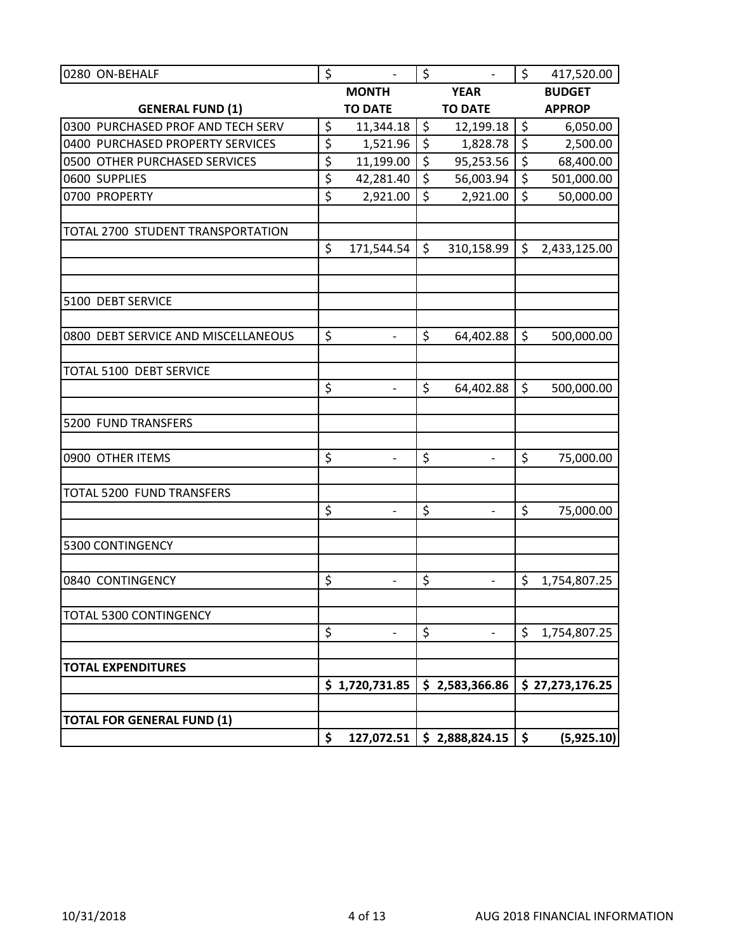| 0280 ON-BEHALF                      | \$               | $\frac{1}{2}$            | \$               | $\overline{\phantom{a}}$ | $\zeta$          | 417,520.00      |
|-------------------------------------|------------------|--------------------------|------------------|--------------------------|------------------|-----------------|
|                                     |                  | <b>MONTH</b>             |                  | <b>YEAR</b>              |                  | <b>BUDGET</b>   |
| <b>GENERAL FUND (1)</b>             |                  | <b>TO DATE</b>           |                  | <b>TO DATE</b>           |                  | <b>APPROP</b>   |
| 0300 PURCHASED PROF AND TECH SERV   | \$               | 11,344.18                | $\zeta$          | 12,199.18                | \$               | 6,050.00        |
| 0400 PURCHASED PROPERTY SERVICES    | \$               | 1,521.96                 | \$               | 1,828.78                 | $\overline{\xi}$ | 2,500.00        |
| 0500 OTHER PURCHASED SERVICES       | \$               | 11,199.00                | \$               | 95,253.56                | $\overline{\xi}$ | 68,400.00       |
| 0600 SUPPLIES                       | \$               | 42,281.40                | $\overline{\xi}$ | 56,003.94                | $\overline{\xi}$ | 501,000.00      |
| 0700 PROPERTY                       | $\overline{\xi}$ | 2,921.00                 | \$               | 2,921.00                 | $\overline{\xi}$ | 50,000.00       |
|                                     |                  |                          |                  |                          |                  |                 |
| TOTAL 2700 STUDENT TRANSPORTATION   |                  |                          |                  |                          |                  |                 |
|                                     | \$               | 171,544.54               | \$               | 310,158.99               | \$               | 2,433,125.00    |
|                                     |                  |                          |                  |                          |                  |                 |
| 5100 DEBT SERVICE                   |                  |                          |                  |                          |                  |                 |
| 0800 DEBT SERVICE AND MISCELLANEOUS | \$               | $\overline{a}$           | \$               | 64,402.88                | \$               | 500,000.00      |
|                                     |                  |                          |                  |                          |                  |                 |
| TOTAL 5100 DEBT SERVICE             |                  |                          |                  |                          |                  |                 |
|                                     | \$               |                          | \$               | 64,402.88                | \$               | 500,000.00      |
| 5200 FUND TRANSFERS                 |                  |                          |                  |                          |                  |                 |
|                                     |                  |                          |                  |                          |                  |                 |
| 0900 OTHER ITEMS                    | \$               | $\overline{\phantom{a}}$ | \$               | $\overline{a}$           | \$               | 75,000.00       |
| TOTAL 5200 FUND TRANSFERS           |                  |                          |                  |                          |                  |                 |
|                                     | \$               | $\overline{\phantom{0}}$ | $\zeta$          |                          | \$               | 75,000.00       |
| 5300 CONTINGENCY                    |                  |                          |                  |                          |                  |                 |
|                                     |                  |                          |                  |                          |                  |                 |
| 0840 CONTINGENCY                    | \$               | $\overline{\phantom{a}}$ | \$               | $\frac{1}{2}$            | \$               | 1,754,807.25    |
| TOTAL 5300 CONTINGENCY              |                  |                          |                  |                          |                  |                 |
|                                     | \$               |                          | \$               |                          | \$               | 1,754,807.25    |
| <b>TOTAL EXPENDITURES</b>           |                  |                          |                  |                          |                  |                 |
|                                     |                  | \$1,720,731.85           |                  | \$2,583,366.86           |                  | \$27,273,176.25 |
|                                     |                  |                          |                  |                          |                  |                 |
| <b>TOTAL FOR GENERAL FUND (1)</b>   |                  |                          |                  |                          |                  |                 |
|                                     | \$               | 127,072.51               |                  | \$2,888,824.15           | \$               | (5,925.10)      |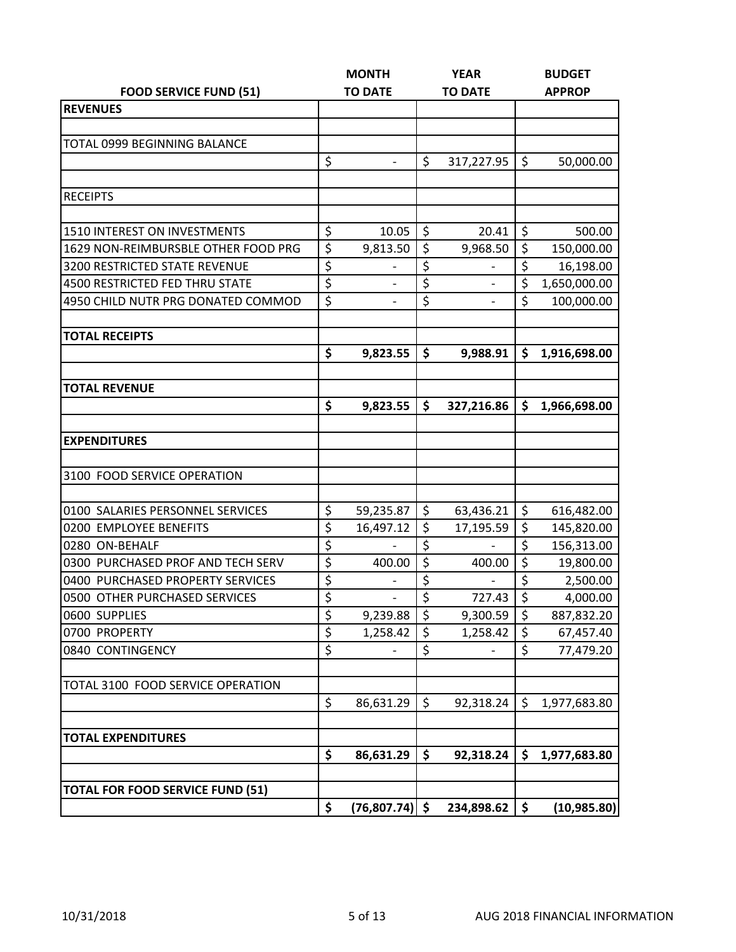|                                         |                  | <b>MONTH</b>   |         | <b>YEAR</b>    |                  | <b>BUDGET</b> |
|-----------------------------------------|------------------|----------------|---------|----------------|------------------|---------------|
| <b>FOOD SERVICE FUND (51)</b>           |                  | <b>TO DATE</b> |         | <b>TO DATE</b> |                  | <b>APPROP</b> |
| <b>REVENUES</b>                         |                  |                |         |                |                  |               |
|                                         |                  |                |         |                |                  |               |
| <b>TOTAL 0999 BEGINNING BALANCE</b>     |                  |                |         |                |                  |               |
|                                         | \$               |                | \$      | 317,227.95     | \$               | 50,000.00     |
|                                         |                  |                |         |                |                  |               |
| <b>RECEIPTS</b>                         |                  |                |         |                |                  |               |
|                                         |                  |                |         |                |                  |               |
| <b>1510 INTEREST ON INVESTMENTS</b>     | \$               | 10.05          | \$      | 20.41          | \$               | 500.00        |
| 1629 NON-REIMBURSBLE OTHER FOOD PRG     | \$               | 9,813.50       | \$      | 9,968.50       | \$               | 150,000.00    |
| <b>3200 RESTRICTED STATE REVENUE</b>    | \$               |                | \$      |                | $\overline{\xi}$ | 16,198.00     |
| 4500 RESTRICTED FED THRU STATE          | \$               |                | \$      |                | $\overline{\xi}$ | 1,650,000.00  |
| 4950 CHILD NUTR PRG DONATED COMMOD      | \$               |                | \$      |                | \$               | 100,000.00    |
| <b>TOTAL RECEIPTS</b>                   |                  |                |         |                |                  |               |
|                                         | \$               | 9,823.55       | \$      | 9,988.91       | \$               | 1,916,698.00  |
|                                         |                  |                |         |                |                  |               |
| <b>TOTAL REVENUE</b>                    |                  |                |         |                |                  |               |
|                                         | \$               | 9,823.55       | \$      | 327,216.86     | \$               | 1,966,698.00  |
|                                         |                  |                |         |                |                  |               |
| <b>EXPENDITURES</b>                     |                  |                |         |                |                  |               |
|                                         |                  |                |         |                |                  |               |
| 3100 FOOD SERVICE OPERATION             |                  |                |         |                |                  |               |
|                                         |                  |                |         |                |                  |               |
| 0100 SALARIES PERSONNEL SERVICES        | \$               | 59,235.87      | \$      | 63,436.21      | \$               | 616,482.00    |
| 0200 EMPLOYEE BENEFITS                  | \$               | 16,497.12      | \$      | 17,195.59      | \$               | 145,820.00    |
| 0280 ON-BEHALF                          | \$               |                | \$      |                | $\overline{\xi}$ | 156,313.00    |
| 0300 PURCHASED PROF AND TECH SERV       | \$               | 400.00         | \$      | 400.00         | \$               | 19,800.00     |
| 0400 PURCHASED PROPERTY SERVICES        | $\overline{\xi}$ |                | \$      |                | $\overline{\xi}$ | 2,500.00      |
| 0500 OTHER PURCHASED SERVICES           | $\overline{\xi}$ |                | \$      | 727.43         | \$               | 4,000.00      |
| 0600 SUPPLIES                           | \$               | 9,239.88       | \$      | 9,300.59       | \$               | 887,832.20    |
| 0700 PROPERTY                           | \$               | 1,258.42       | \$      | 1,258.42       | \$               | 67,457.40     |
| 0840 CONTINGENCY                        | $\overline{\xi}$ |                | \$      |                | \$               | 77,479.20     |
| TOTAL 3100 FOOD SERVICE OPERATION       |                  |                |         |                |                  |               |
|                                         | \$               | 86,631.29      | $\zeta$ | 92,318.24      | \$               | 1,977,683.80  |
|                                         |                  |                |         |                |                  |               |
| <b>TOTAL EXPENDITURES</b>               |                  |                |         |                |                  |               |
|                                         | \$               | 86,631.29      | \$      | 92,318.24      | \$               | 1,977,683.80  |
|                                         |                  |                |         |                |                  |               |
| <b>TOTAL FOR FOOD SERVICE FUND (51)</b> |                  |                |         |                |                  |               |
|                                         | \$               | (76, 807.74)   | \$      | 234,898.62     | \$               | (10, 985.80)  |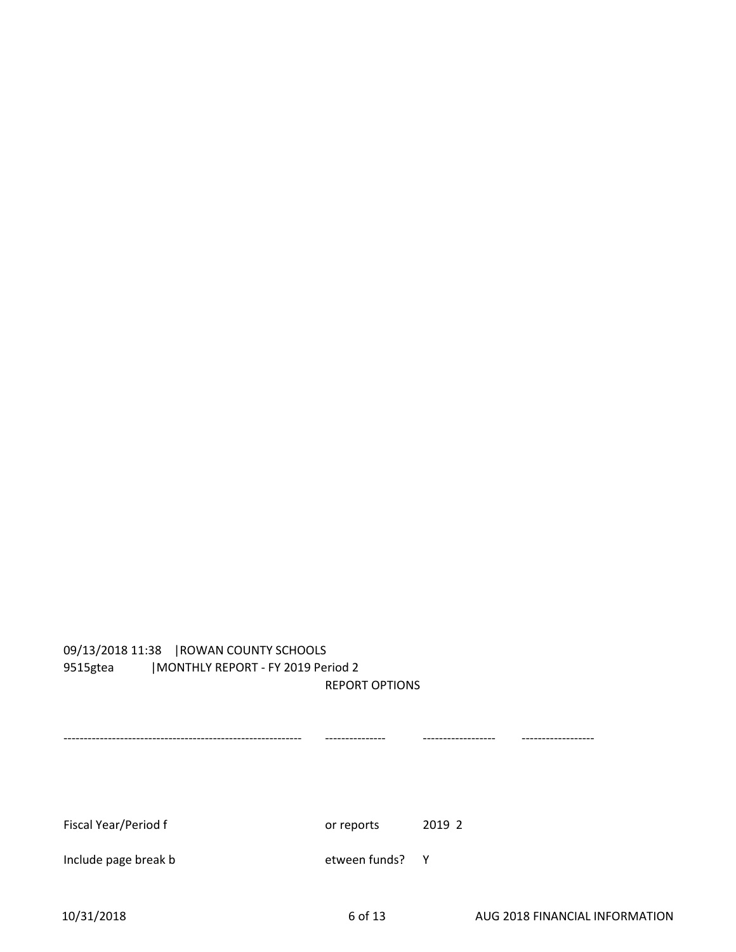## 09/13/2018 11:38 |ROWAN COUNTY SCHOOLS 9515gtea |MONTHLY REPORT - FY 2019 Period 2 REPORT OPTIONS

----------------------------------------------------------- --------------- ------------------ ------------------ Fiscal Year/Period f **by Calculation** or reports 2019 2 Include page break b etween funds? Y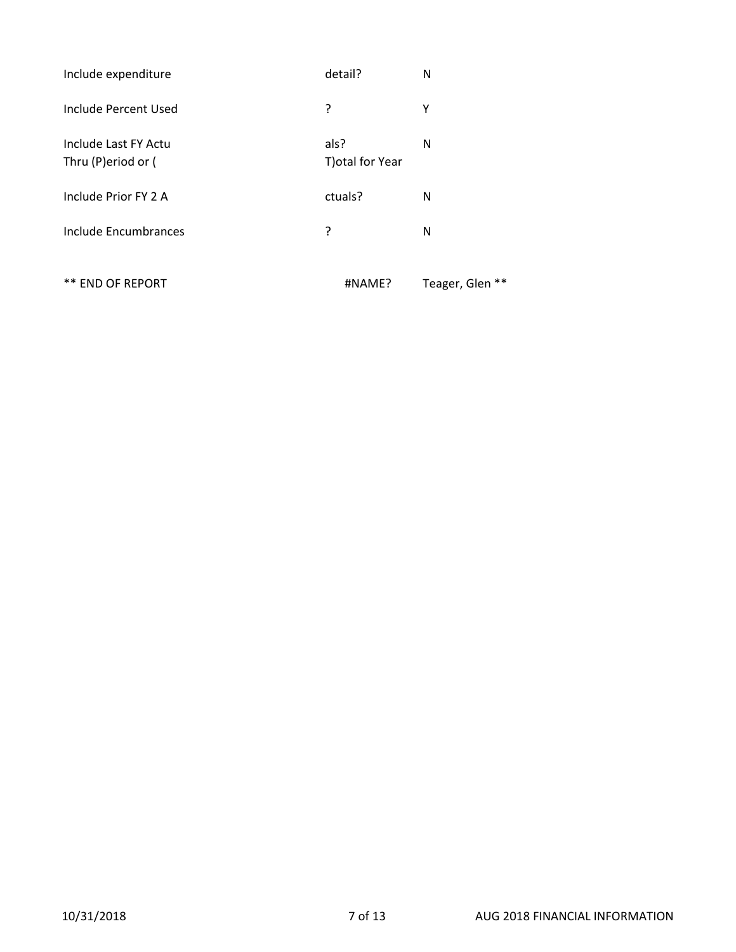| Include expenditure                        | detail?                  | N               |
|--------------------------------------------|--------------------------|-----------------|
| Include Percent Used                       | ?                        | Υ               |
| Include Last FY Actu<br>Thru (P)eriod or ( | als?<br>T) otal for Year | N               |
| Include Prior FY 2 A                       | ctuals?                  | N               |
| Include Encumbrances                       | ?                        | N               |
| ** END OF REPORT                           | #NAME?                   | Teager, Glen ** |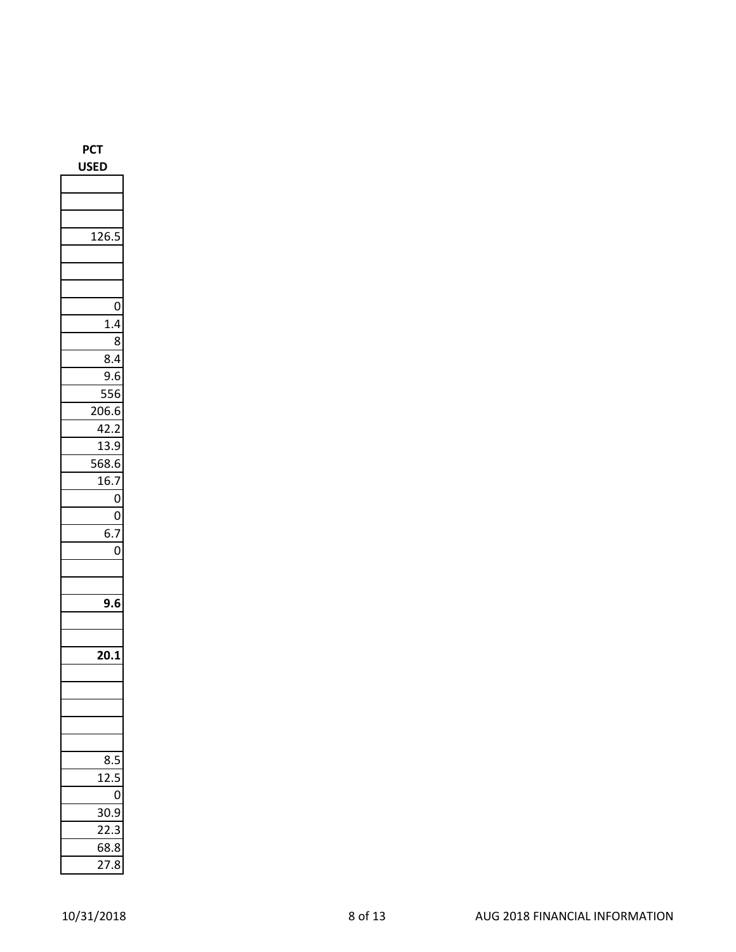|  | <b>USED</b> |     |   |
|--|-------------|-----|---|
|  |             |     |   |
|  |             |     |   |
|  |             |     |   |
|  |             | 126 |   |
|  |             |     |   |
|  |             |     |   |
|  |             |     |   |
|  |             |     |   |
|  |             |     | 1 |

**PCT**

| 126.             |                |
|------------------|----------------|
|                  |                |
|                  |                |
|                  |                |
|                  | $\mathbf 0$    |
| 1.4              |                |
|                  | 8              |
| 8.4              |                |
| 9.6              |                |
| 556              |                |
| 206.6            |                |
| 42.2             |                |
| $\frac{13.9}{2}$ |                |
| 568.6            |                |
| 16.7             |                |
|                  | 0              |
|                  | 0              |
| $\overline{6.7}$ |                |
|                  | $\overline{0}$ |
|                  |                |
|                  |                |
| 9.6              |                |
|                  |                |
|                  |                |
| 20.1             |                |
|                  |                |
|                  |                |
|                  |                |
|                  |                |
|                  |                |
|                  |                |
| 8.5              |                |
| 12.5             | 5              |
|                  | 0              |
| 30.              | 9              |
| _<br>22.         | 3              |
| 68.8<br>27.8     |                |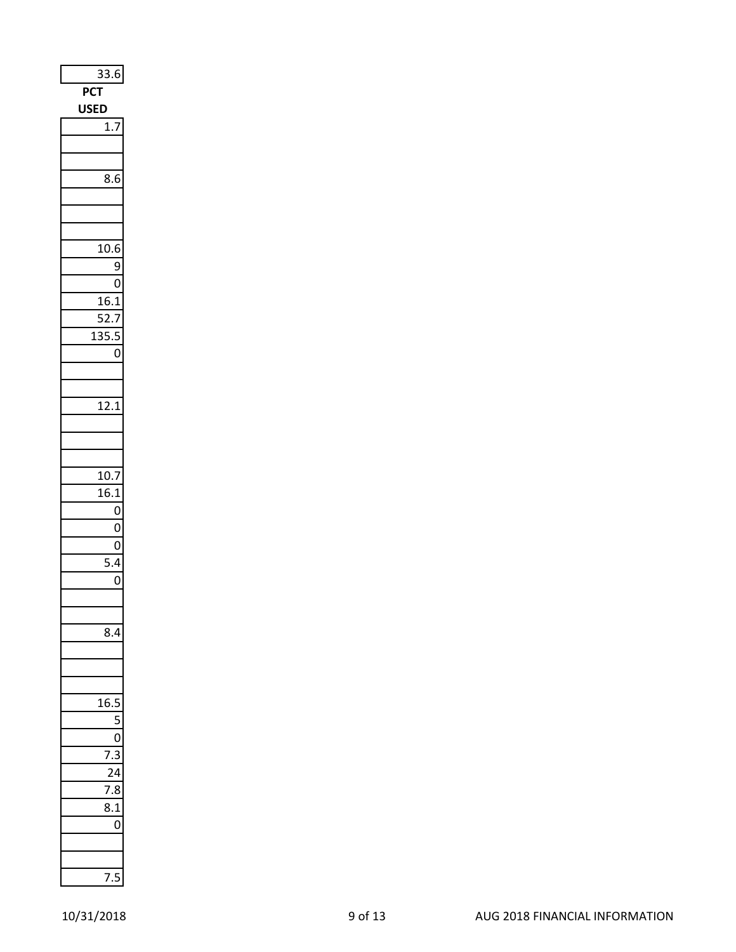| 33.6<br>$\ddot{\cdot}$ |
|------------------------|
| PCT                    |
| <b>USED</b>            |
| 1.7                    |
|                        |
|                        |
| 8.6                    |
|                        |
|                        |
|                        |
| 10.6                   |
| 9                      |
| O                      |
| 16.1                   |
| -<br>52.7              |
| 135<br>5.<br>C<br>J    |
| 0                      |
|                        |
|                        |
| 12.1                   |
|                        |
|                        |
|                        |
| 10.7                   |
| 16.1                   |
| 0                      |
| 0                      |
| $\mathbf{0}$           |
| 5.4                    |
| 0                      |
|                        |
|                        |
|                        |
|                        |
|                        |
|                        |
| I<br>1<br>f            |
|                        |
|                        |
|                        |
|                        |
| ζ                      |
|                        |
| ſ<br>J                 |
|                        |
|                        |
|                        |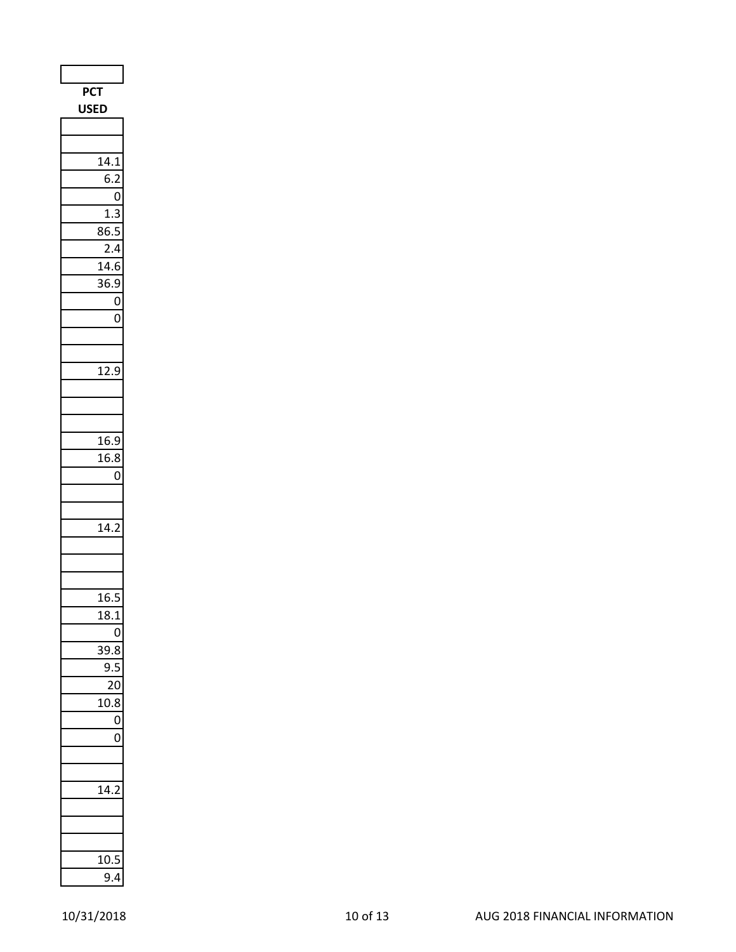| <b>PCT</b><br><b>USED</b>    |
|------------------------------|
|                              |
|                              |
| 14.1                         |
| 6.2                          |
| 0                            |
| 3<br>1.3<br>86.5             |
| 2.4                          |
| 14.6                         |
| 36.9<br>)                    |
| 0                            |
| 0                            |
|                              |
|                              |
| 12.9                         |
|                              |
|                              |
| 16.9                         |
| $\overline{16.8}$            |
| $\overline{0}$               |
|                              |
|                              |
| 14.2                         |
|                              |
|                              |
| 16.<br>ľ<br>,                |
| 18.1                         |
| 0                            |
| $\ddot{\phantom{0}}$<br>39.8 |
| C<br>J                       |
| 7<br>)                       |
| 8<br>10                      |
| 0                            |
| 0                            |
|                              |
| 14.                          |
|                              |
|                              |
|                              |
| 10.5                         |
| 9.4                          |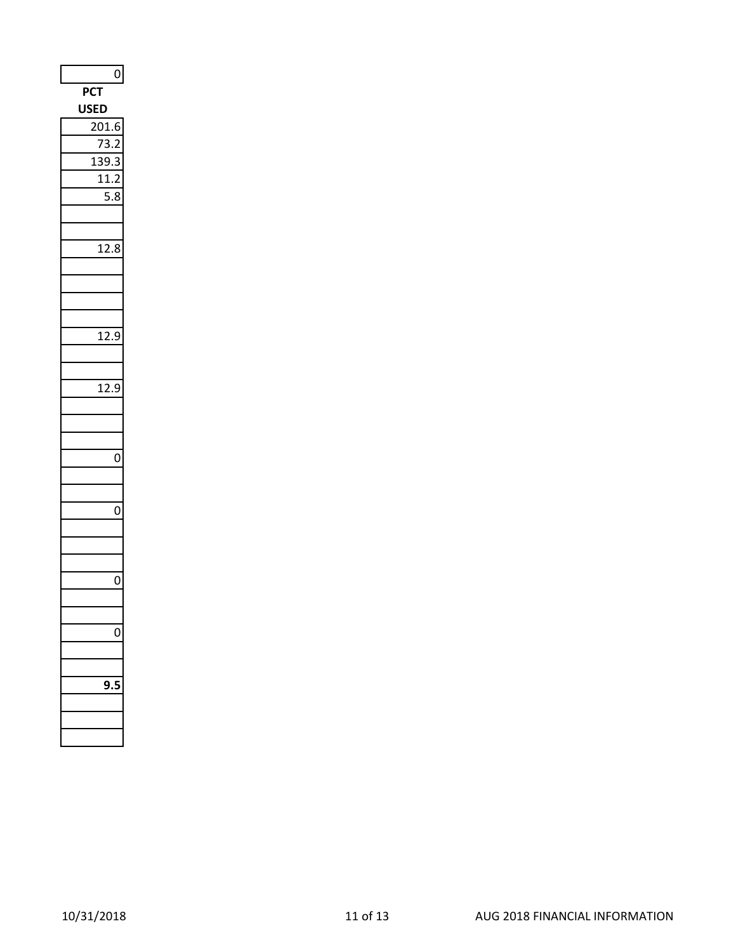| $\mathsf{0}$                        |
|-------------------------------------|
| <b>PCT</b>                          |
| <b>USED</b>                         |
| 201.6                               |
| ξ                                   |
| <sup>2</sup><br>1<br>١.<br>Î<br>≀   |
| 11.2<br>,                           |
| l<br>$\overline{\mathbf{5}}$ .<br>3 |
|                                     |
|                                     |
| 12.8                                |
|                                     |
|                                     |
|                                     |
|                                     |
| 12.9<br>)                           |
|                                     |
|                                     |
| 12.9<br>۱                           |
|                                     |
|                                     |
|                                     |
| 0                                   |
|                                     |
|                                     |
| 0                                   |
|                                     |
|                                     |
|                                     |
| 0                                   |
|                                     |
|                                     |
|                                     |
|                                     |
|                                     |
|                                     |
|                                     |
|                                     |
|                                     |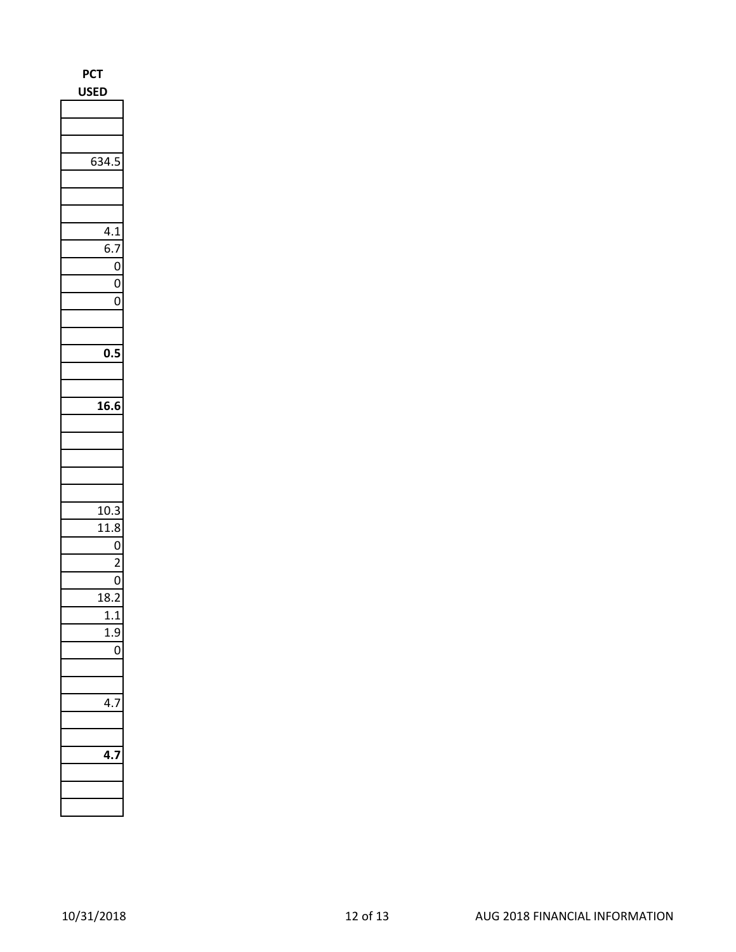| PCT<br><b>USE</b><br>D                |
|---------------------------------------|
|                                       |
|                                       |
|                                       |
| 634.5                                 |
|                                       |
|                                       |
| 4.1                                   |
| 6.7                                   |
| 0                                     |
| $\mathbf 0$                           |
| 0                                     |
|                                       |
|                                       |
| 0.5                                   |
|                                       |
| 16.6                                  |
|                                       |
|                                       |
|                                       |
|                                       |
|                                       |
|                                       |
| 10.3                                  |
| 11.8                                  |
| $\mathbf{0}$                          |
| $\overline{c}$                        |
| $\mathbf{0}$<br>$\overline{c}$<br>18. |
|                                       |
|                                       |
| 0                                     |
|                                       |
|                                       |
|                                       |
|                                       |
|                                       |
|                                       |
|                                       |